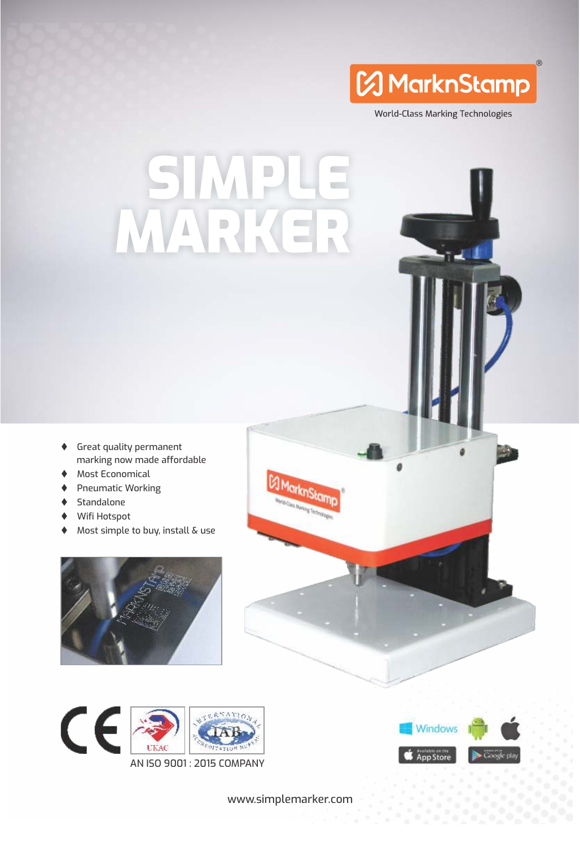

World-Class Marking Technologies

# SI I MARKER

- $\blacklozenge$  Great quality permanent marking now made affordable
- Most Economical
- Pneumatic Working
- $\blacklozenge$  Standalone
- ◆ Wifi Hotspot
- $\blacklozenge$  Most simple to buy, install & use







www.simplemarker.com

E MarknStamp